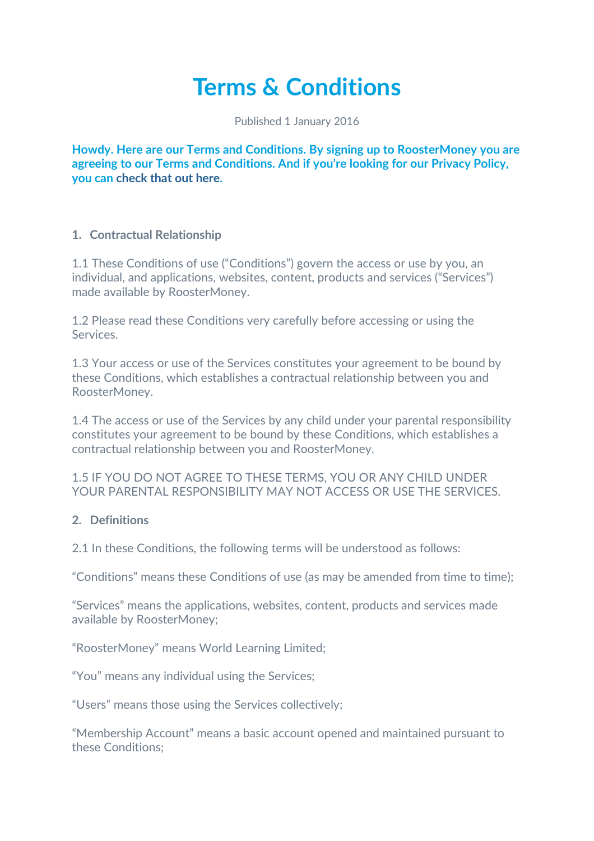# **Terms & Conditions**

Published 1 January 2016

**Howdy. Here are our Terms and Conditions. By signing up to RoosterMoney you are agreeing to our Terms and Conditions. And if you're looking for our Privacy Policy, you can [check that out here.](https://roostermoney.com/privacy/)** 

# **1. Contractual Relationship**

1.1 These Conditions of use ("Conditions") govern the access or use by you, an individual, and applications, websites, content, products and services ("Services") made available by RoosterMoney.

1.2 Please read these Conditions very carefully before accessing or using the Services.

1.3 Your access or use of the Services constitutes your agreement to be bound by these Conditions, which establishes a contractual relationship between you and RoosterMoney.

1.4 The access or use of the Services by any child under your parental responsibility constitutes your agreement to be bound by these Conditions, which establishes a contractual relationship between you and RoosterMoney.

# 1.5 IF YOU DO NOT AGREE TO THESE TERMS, YOU OR ANY CHILD UNDER YOUR PARENTAL RESPONSIBILITY MAY NOT ACCESS OR USE THE SERVICES.

# **2. Definitions**

2.1 In these Conditions, the following terms will be understood as follows:

"Conditions" means these Conditions of use (as may be amended from time to time);

"Services" means the applications, websites, content, products and services made available by RoosterMoney;

"RoosterMoney" means World Learning Limited;

"You" means any individual using the Services;

"Users" means those using the Services collectively;

"Membership Account" means a basic account opened and maintained pursuant to these Conditions;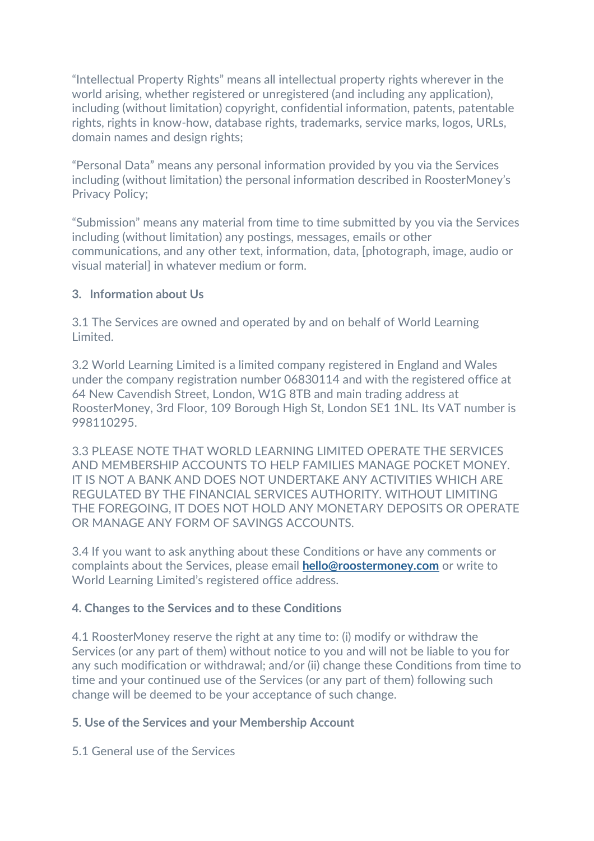"Intellectual Property Rights" means all intellectual property rights wherever in the world arising, whether registered or unregistered (and including any application), including (without limitation) copyright, confidential information, patents, patentable rights, rights in know-how, database rights, trademarks, service marks, logos, URLs, domain names and design rights;

"Personal Data" means any personal information provided by you via the Services including (without limitation) the personal information described in RoosterMoney's Privacy Policy;

"Submission" means any material from time to time submitted by you via the Services including (without limitation) any postings, messages, emails or other communications, and any other text, information, data, [photograph, image, audio or visual material] in whatever medium or form.

#### **3. Information about Us**

3.1 The Services are owned and operated by and on behalf of World Learning Limited.

3.2 World Learning Limited is a limited company registered in England and Wales under the company registration number 06830114 and with the registered office at 64 New Cavendish Street, London, W1G 8TB and main trading address at RoosterMoney, 3rd Floor, 109 Borough High St, London SE1 1NL. Its VAT number is 998110295.

3.3 PLEASE NOTE THAT WORLD LEARNING LIMITED OPERATE THE SERVICES AND MEMBERSHIP ACCOUNTS TO HELP FAMILIES MANAGE POCKET MONEY. IT IS NOT A BANK AND DOES NOT UNDERTAKE ANY ACTIVITIES WHICH ARE REGULATED BY THE FINANCIAL SERVICES AUTHORITY. WITHOUT LIMITING THE FOREGOING, IT DOES NOT HOLD ANY MONETARY DEPOSITS OR OPERATE OR MANAGE ANY FORM OF SAVINGS ACCOUNTS.

3.4 If you want to ask anything about these Conditions or have any comments or complaints about the Services, please email **[hello@roostermoney.com](mailto:hello@roostemoney.com)** or write to World Learning Limited's registered office address.

#### **4. Changes to the Services and to these Conditions**

4.1 RoosterMoney reserve the right at any time to: (i) modify or withdraw the Services (or any part of them) without notice to you and will not be liable to you for any such modification or withdrawal; and/or (ii) change these Conditions from time to time and your continued use of the Services (or any part of them) following such change will be deemed to be your acceptance of such change.

#### **5. Use of the Services and your Membership Account**

5.1 General use of the Services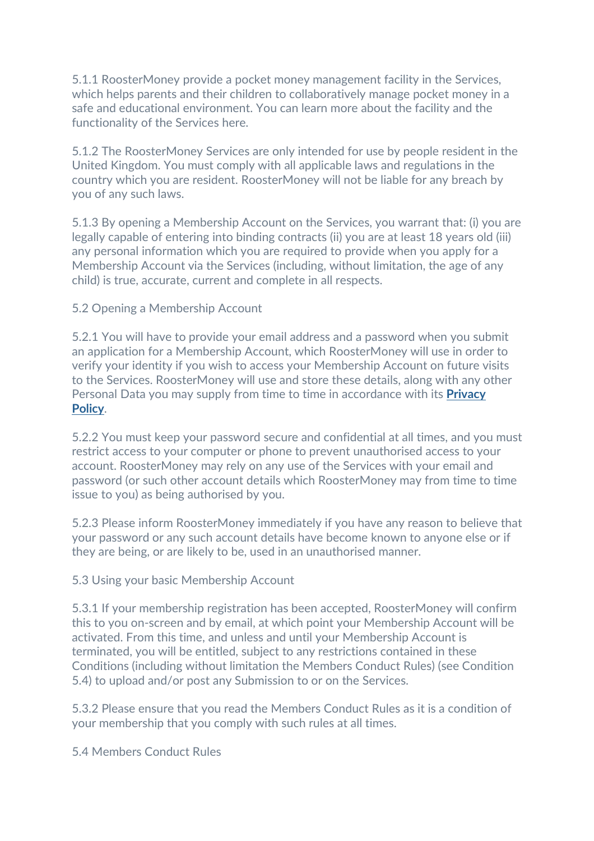5.1.1 RoosterMoney provide a pocket money management facility in the Services, which helps parents and their children to collaboratively manage pocket money in a safe and educational environment. You can learn more about the facility and the functionality of the Services here.

5.1.2 The RoosterMoney Services are only intended for use by people resident in the United Kingdom. You must comply with all applicable laws and regulations in the country which you are resident. RoosterMoney will not be liable for any breach by you of any such laws.

5.1.3 By opening a Membership Account on the Services, you warrant that: (i) you are legally capable of entering into binding contracts (ii) you are at least 18 years old (iii) any personal information which you are required to provide when you apply for a Membership Account via the Services (including, without limitation, the age of any child) is true, accurate, current and complete in all respects.

# 5.2 Opening a Membership Account

5.2.1 You will have to provide your email address and a password when you submit an application for a Membership Account, which RoosterMoney will use in order to verify your identity if you wish to access your Membership Account on future visits to the Services. RoosterMoney will use and store these details, along with any other Personal Data you may supply from time to time in accordance with its **[Privacy](https://www.roostermoney.com/privacy)  [Policy](https://www.roostermoney.com/privacy)**.

5.2.2 You must keep your password secure and confidential at all times, and you must restrict access to your computer or phone to prevent unauthorised access to your account. RoosterMoney may rely on any use of the Services with your email and password (or such other account details which RoosterMoney may from time to time issue to you) as being authorised by you.

5.2.3 Please inform RoosterMoney immediately if you have any reason to believe that your password or any such account details have become known to anyone else or if they are being, or are likely to be, used in an unauthorised manner.

5.3 Using your basic Membership Account

5.3.1 If your membership registration has been accepted, RoosterMoney will confirm this to you on-screen and by email, at which point your Membership Account will be activated. From this time, and unless and until your Membership Account is terminated, you will be entitled, subject to any restrictions contained in these Conditions (including without limitation the Members Conduct Rules) (see Condition 5.4) to upload and/or post any Submission to or on the Services.

5.3.2 Please ensure that you read the Members Conduct Rules as it is a condition of your membership that you comply with such rules at all times.

5.4 Members Conduct Rules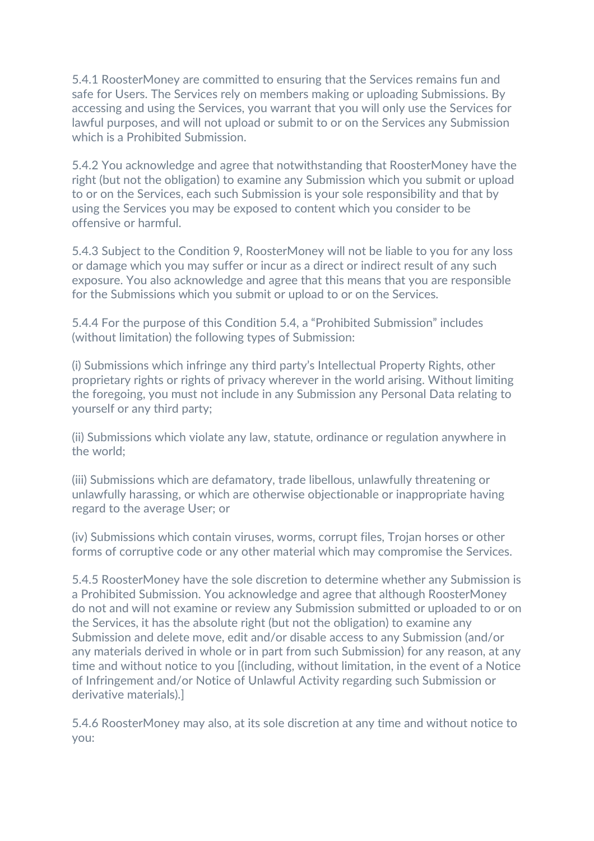5.4.1 RoosterMoney are committed to ensuring that the Services remains fun and safe for Users. The Services rely on members making or uploading Submissions. By accessing and using the Services, you warrant that you will only use the Services for lawful purposes, and will not upload or submit to or on the Services any Submission which is a Prohibited Submission.

5.4.2 You acknowledge and agree that notwithstanding that RoosterMoney have the right (but not the obligation) to examine any Submission which you submit or upload to or on the Services, each such Submission is your sole responsibility and that by using the Services you may be exposed to content which you consider to be offensive or harmful.

5.4.3 Subject to the Condition 9, RoosterMoney will not be liable to you for any loss or damage which you may suffer or incur as a direct or indirect result of any such exposure. You also acknowledge and agree that this means that you are responsible for the Submissions which you submit or upload to or on the Services.

5.4.4 For the purpose of this Condition 5.4, a "Prohibited Submission" includes (without limitation) the following types of Submission:

(i) Submissions which infringe any third party's Intellectual Property Rights, other proprietary rights or rights of privacy wherever in the world arising. Without limiting the foregoing, you must not include in any Submission any Personal Data relating to yourself or any third party;

(ii) Submissions which violate any law, statute, ordinance or regulation anywhere in the world;

(iii) Submissions which are defamatory, trade libellous, unlawfully threatening or unlawfully harassing, or which are otherwise objectionable or inappropriate having regard to the average User; or

(iv) Submissions which contain viruses, worms, corrupt files, Trojan horses or other forms of corruptive code or any other material which may compromise the Services.

5.4.5 RoosterMoney have the sole discretion to determine whether any Submission is a Prohibited Submission. You acknowledge and agree that although RoosterMoney do not and will not examine or review any Submission submitted or uploaded to or on the Services, it has the absolute right (but not the obligation) to examine any Submission and delete move, edit and/or disable access to any Submission (and/or any materials derived in whole or in part from such Submission) for any reason, at any time and without notice to you [(including, without limitation, in the event of a Notice of Infringement and/or Notice of Unlawful Activity regarding such Submission or derivative materials).]

5.4.6 RoosterMoney may also, at its sole discretion at any time and without notice to you: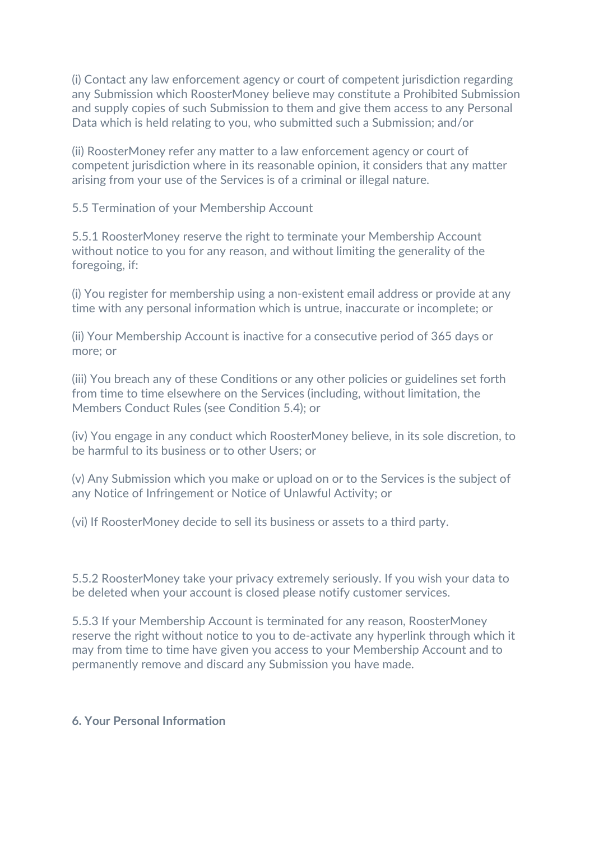(i) Contact any law enforcement agency or court of competent jurisdiction regarding any Submission which RoosterMoney believe may constitute a Prohibited Submission and supply copies of such Submission to them and give them access to any Personal Data which is held relating to you, who submitted such a Submission; and/or

(ii) RoosterMoney refer any matter to a law enforcement agency or court of competent jurisdiction where in its reasonable opinion, it considers that any matter arising from your use of the Services is of a criminal or illegal nature.

5.5 Termination of your Membership Account

5.5.1 RoosterMoney reserve the right to terminate your Membership Account without notice to you for any reason, and without limiting the generality of the foregoing, if:

(i) You register for membership using a non-existent email address or provide at any time with any personal information which is untrue, inaccurate or incomplete; or

(ii) Your Membership Account is inactive for a consecutive period of 365 days or more; or

(iii) You breach any of these Conditions or any other policies or guidelines set forth from time to time elsewhere on the Services (including, without limitation, the Members Conduct Rules (see Condition 5.4); or

(iv) You engage in any conduct which RoosterMoney believe, in its sole discretion, to be harmful to its business or to other Users; or

(v) Any Submission which you make or upload on or to the Services is the subject of any Notice of Infringement or Notice of Unlawful Activity; or

(vi) If RoosterMoney decide to sell its business or assets to a third party.

5.5.2 RoosterMoney take your privacy extremely seriously. If you wish your data to be deleted when your account is closed please notify customer services.

5.5.3 If your Membership Account is terminated for any reason, RoosterMoney reserve the right without notice to you to de-activate any hyperlink through which it may from time to time have given you access to your Membership Account and to permanently remove and discard any Submission you have made.

#### **6. Your Personal Information**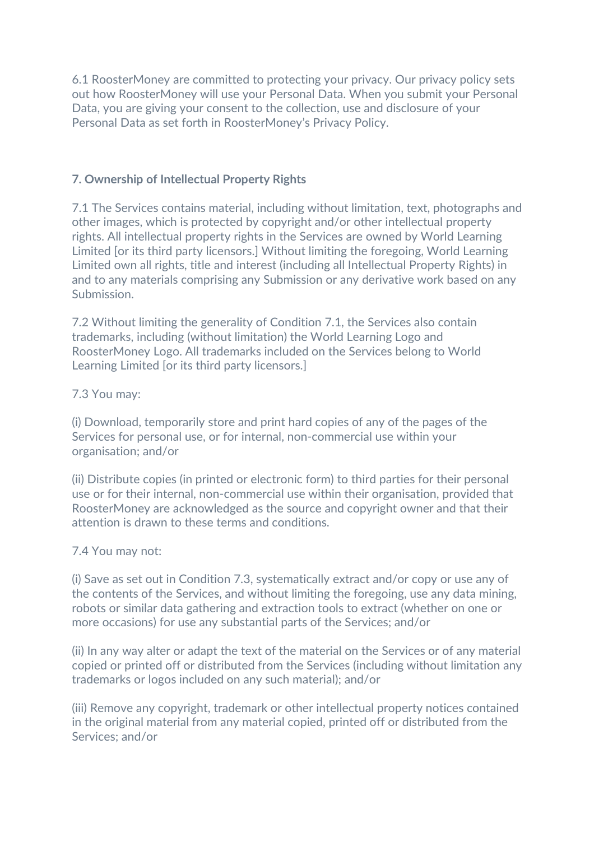6.1 RoosterMoney are committed to protecting your privacy. Our privacy policy sets out how RoosterMoney will use your Personal Data. When you submit your Personal Data, you are giving your consent to the collection, use and disclosure of your Personal Data as set forth in RoosterMoney's Privacy Policy.

# **7. Ownership of Intellectual Property Rights**

7.1 The Services contains material, including without limitation, text, photographs and other images, which is protected by copyright and/or other intellectual property rights. All intellectual property rights in the Services are owned by World Learning Limited [or its third party licensors.] Without limiting the foregoing, World Learning Limited own all rights, title and interest (including all Intellectual Property Rights) in and to any materials comprising any Submission or any derivative work based on any Submission.

7.2 Without limiting the generality of Condition 7.1, the Services also contain trademarks, including (without limitation) the World Learning Logo and RoosterMoney Logo. All trademarks included on the Services belong to World Learning Limited [or its third party licensors.]

7.3 You may:

(i) Download, temporarily store and print hard copies of any of the pages of the Services for personal use, or for internal, non-commercial use within your organisation; and/or

(ii) Distribute copies (in printed or electronic form) to third parties for their personal use or for their internal, non-commercial use within their organisation, provided that RoosterMoney are acknowledged as the source and copyright owner and that their attention is drawn to these terms and conditions.

#### 7.4 You may not:

(i) Save as set out in Condition 7.3, systematically extract and/or copy or use any of the contents of the Services, and without limiting the foregoing, use any data mining, robots or similar data gathering and extraction tools to extract (whether on one or more occasions) for use any substantial parts of the Services; and/or

(ii) In any way alter or adapt the text of the material on the Services or of any material copied or printed off or distributed from the Services (including without limitation any trademarks or logos included on any such material); and/or

(iii) Remove any copyright, trademark or other intellectual property notices contained in the original material from any material copied, printed off or distributed from the Services; and/or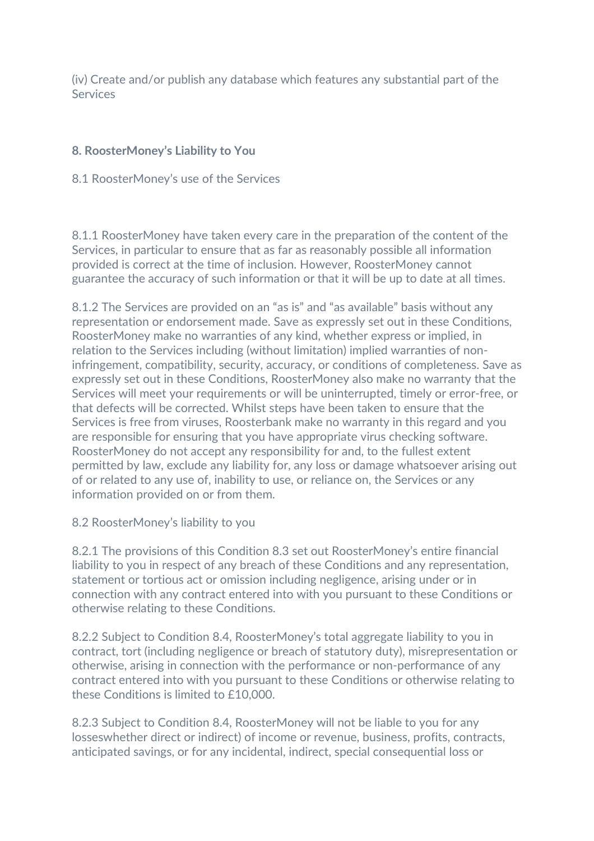(iv) Create and/or publish any database which features any substantial part of the **Services** 

# **8. RoosterMoney's Liability to You**

#### 8.1 RoosterMoney's use of the Services

8.1.1 RoosterMoney have taken every care in the preparation of the content of the Services, in particular to ensure that as far as reasonably possible all information provided is correct at the time of inclusion. However, RoosterMoney cannot guarantee the accuracy of such information or that it will be up to date at all times.

8.1.2 The Services are provided on an "as is" and "as available" basis without any representation or endorsement made. Save as expressly set out in these Conditions, RoosterMoney make no warranties of any kind, whether express or implied, in relation to the Services including (without limitation) implied warranties of noninfringement, compatibility, security, accuracy, or conditions of completeness. Save as expressly set out in these Conditions, RoosterMoney also make no warranty that the Services will meet your requirements or will be uninterrupted, timely or error-free, or that defects will be corrected. Whilst steps have been taken to ensure that the Services is free from viruses, Roosterbank make no warranty in this regard and you are responsible for ensuring that you have appropriate virus checking software. RoosterMoney do not accept any responsibility for and, to the fullest extent permitted by law, exclude any liability for, any loss or damage whatsoever arising out of or related to any use of, inability to use, or reliance on, the Services or any information provided on or from them.

#### 8.2 RoosterMoney's liability to you

8.2.1 The provisions of this Condition 8.3 set out RoosterMoney's entire financial liability to you in respect of any breach of these Conditions and any representation, statement or tortious act or omission including negligence, arising under or in connection with any contract entered into with you pursuant to these Conditions or otherwise relating to these Conditions.

8.2.2 Subject to Condition 8.4, RoosterMoney's total aggregate liability to you in contract, tort (including negligence or breach of statutory duty), misrepresentation or otherwise, arising in connection with the performance or non-performance of any contract entered into with you pursuant to these Conditions or otherwise relating to these Conditions is limited to £10,000.

8.2.3 Subject to Condition 8.4, RoosterMoney will not be liable to you for any losseswhether direct or indirect) of income or revenue, business, profits, contracts, anticipated savings, or for any incidental, indirect, special consequential loss or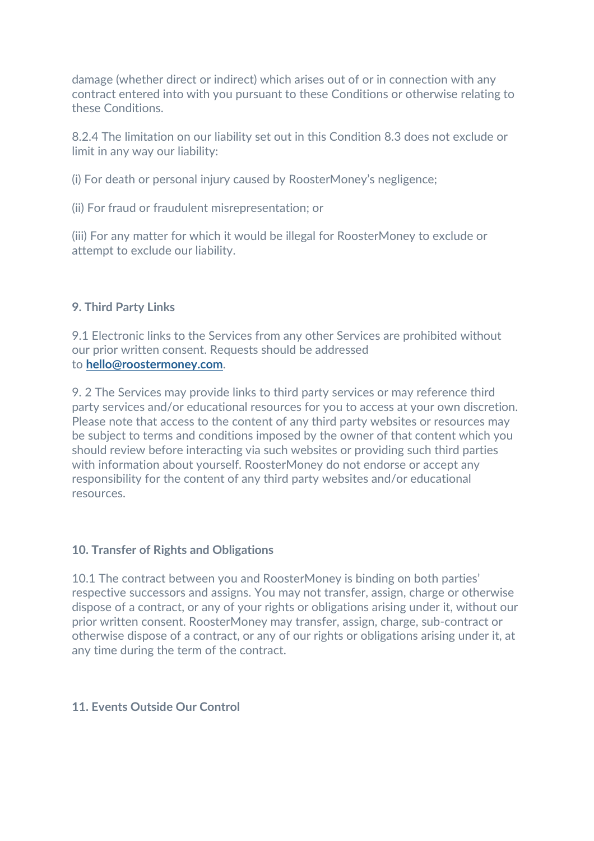damage (whether direct or indirect) which arises out of or in connection with any contract entered into with you pursuant to these Conditions or otherwise relating to these Conditions.

8.2.4 The limitation on our liability set out in this Condition 8.3 does not exclude or limit in any way our liability:

(i) For death or personal injury caused by RoosterMoney's negligence;

(ii) For fraud or fraudulent misrepresentation; or

(iii) For any matter for which it would be illegal for RoosterMoney to exclude or attempt to exclude our liability.

# **9. Third Party Links**

9.1 Electronic links to the Services from any other Services are prohibited without our prior written consent. Requests should be addressed to **[hello@roostermoney.com](mailto:hello@roostermoney.com)**.

9. 2 The Services may provide links to third party services or may reference third party services and/or educational resources for you to access at your own discretion. Please note that access to the content of any third party websites or resources may be subject to terms and conditions imposed by the owner of that content which you should review before interacting via such websites or providing such third parties with information about yourself. RoosterMoney do not endorse or accept any responsibility for the content of any third party websites and/or educational resources.

#### **10. Transfer of Rights and Obligations**

10.1 The contract between you and RoosterMoney is binding on both parties' respective successors and assigns. You may not transfer, assign, charge or otherwise dispose of a contract, or any of your rights or obligations arising under it, without our prior written consent. RoosterMoney may transfer, assign, charge, sub-contract or otherwise dispose of a contract, or any of our rights or obligations arising under it, at any time during the term of the contract.

#### **11. Events Outside Our Control**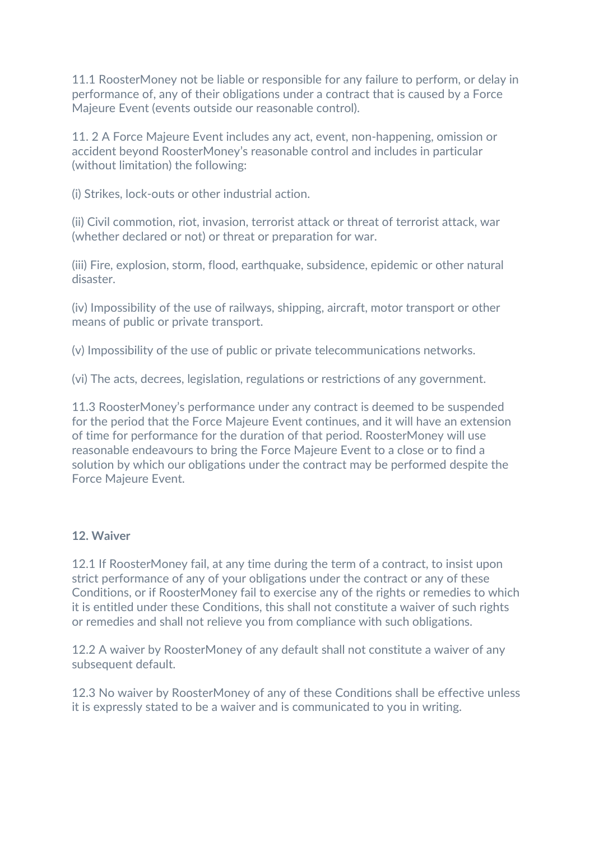11.1 RoosterMoney not be liable or responsible for any failure to perform, or delay in performance of, any of their obligations under a contract that is caused by a Force Majeure Event (events outside our reasonable control).

11. 2 A Force Majeure Event includes any act, event, non-happening, omission or accident beyond RoosterMoney's reasonable control and includes in particular (without limitation) the following:

(i) Strikes, lock-outs or other industrial action.

(ii) Civil commotion, riot, invasion, terrorist attack or threat of terrorist attack, war (whether declared or not) or threat or preparation for war.

(iii) Fire, explosion, storm, flood, earthquake, subsidence, epidemic or other natural disaster.

(iv) Impossibility of the use of railways, shipping, aircraft, motor transport or other means of public or private transport.

(v) Impossibility of the use of public or private telecommunications networks.

(vi) The acts, decrees, legislation, regulations or restrictions of any government.

11.3 RoosterMoney's performance under any contract is deemed to be suspended for the period that the Force Majeure Event continues, and it will have an extension of time for performance for the duration of that period. RoosterMoney will use reasonable endeavours to bring the Force Majeure Event to a close or to find a solution by which our obligations under the contract may be performed despite the Force Majeure Event.

# **12. Waiver**

12.1 If RoosterMoney fail, at any time during the term of a contract, to insist upon strict performance of any of your obligations under the contract or any of these Conditions, or if RoosterMoney fail to exercise any of the rights or remedies to which it is entitled under these Conditions, this shall not constitute a waiver of such rights or remedies and shall not relieve you from compliance with such obligations.

12.2 A waiver by RoosterMoney of any default shall not constitute a waiver of any subsequent default.

12.3 No waiver by RoosterMoney of any of these Conditions shall be effective unless it is expressly stated to be a waiver and is communicated to you in writing.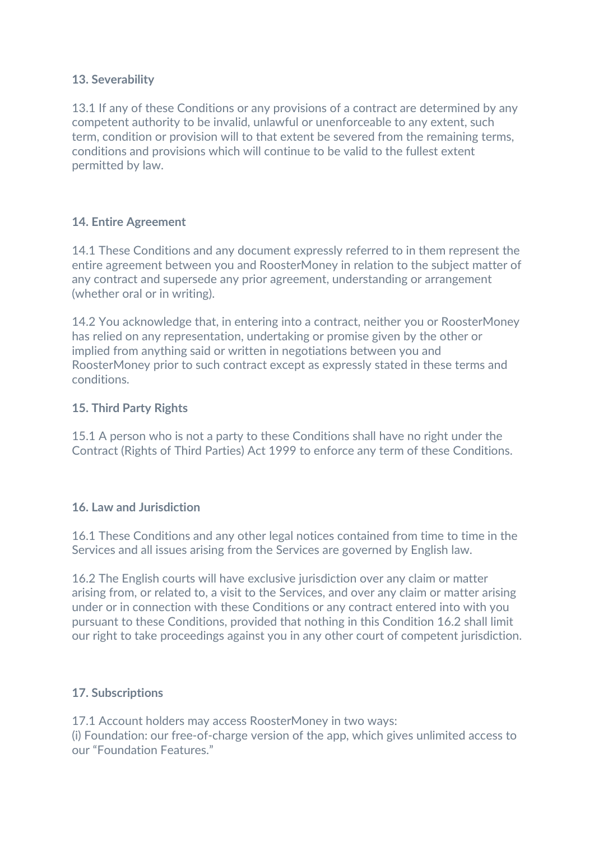# **13. Severability**

13.1 If any of these Conditions or any provisions of a contract are determined by any competent authority to be invalid, unlawful or unenforceable to any extent, such term, condition or provision will to that extent be severed from the remaining terms, conditions and provisions which will continue to be valid to the fullest extent permitted by law.

# **14. Entire Agreement**

14.1 These Conditions and any document expressly referred to in them represent the entire agreement between you and RoosterMoney in relation to the subject matter of any contract and supersede any prior agreement, understanding or arrangement (whether oral or in writing).

14.2 You acknowledge that, in entering into a contract, neither you or RoosterMoney has relied on any representation, undertaking or promise given by the other or implied from anything said or written in negotiations between you and RoosterMoney prior to such contract except as expressly stated in these terms and conditions.

#### **15. Third Party Rights**

15.1 A person who is not a party to these Conditions shall have no right under the Contract (Rights of Third Parties) Act 1999 to enforce any term of these Conditions.

#### **16. Law and Jurisdiction**

16.1 These Conditions and any other legal notices contained from time to time in the Services and all issues arising from the Services are governed by English law.

16.2 The English courts will have exclusive jurisdiction over any claim or matter arising from, or related to, a visit to the Services, and over any claim or matter arising under or in connection with these Conditions or any contract entered into with you pursuant to these Conditions, provided that nothing in this Condition 16.2 shall limit our right to take proceedings against you in any other court of competent jurisdiction.

#### **17. Subscriptions**

17.1 Account holders may access RoosterMoney in two ways: (i) Foundation: our free-of-charge version of the app, which gives unlimited access to our "Foundation Features."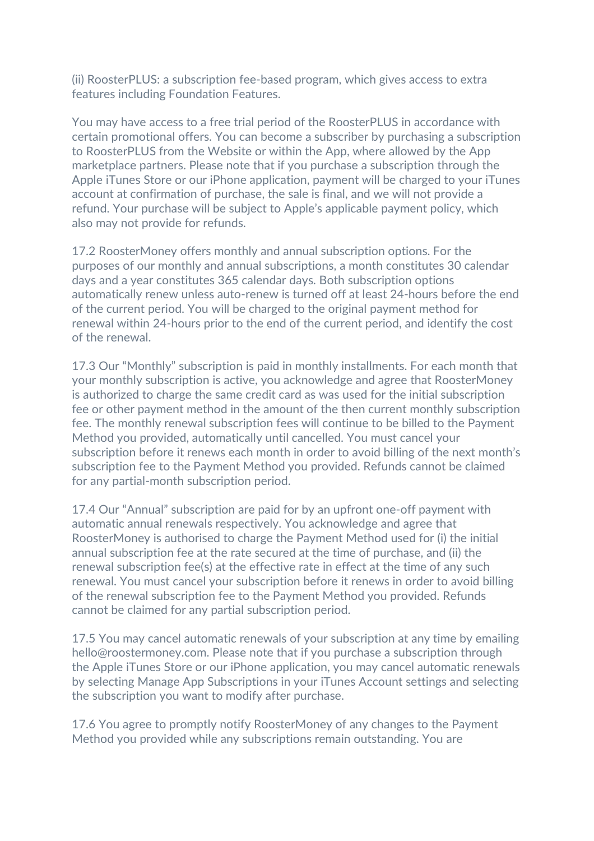(ii) RoosterPLUS: a subscription fee-based program, which gives access to extra features including Foundation Features.

You may have access to a free trial period of the RoosterPLUS in accordance with certain promotional offers. You can become a subscriber by purchasing a subscription to RoosterPLUS from the Website or within the App, where allowed by the App marketplace partners. Please note that if you purchase a subscription through the Apple iTunes Store or our iPhone application, payment will be charged to your iTunes account at confirmation of purchase, the sale is final, and we will not provide a refund. Your purchase will be subject to Apple's applicable payment policy, which also may not provide for refunds.

17.2 RoosterMoney offers monthly and annual subscription options. For the purposes of our monthly and annual subscriptions, a month constitutes 30 calendar days and a year constitutes 365 calendar days. Both subscription options automatically renew unless auto-renew is turned off at least 24-hours before the end of the current period. You will be charged to the original payment method for renewal within 24-hours prior to the end of the current period, and identify the cost of the renewal.

17.3 Our "Monthly" subscription is paid in monthly installments. For each month that your monthly subscription is active, you acknowledge and agree that RoosterMoney is authorized to charge the same credit card as was used for the initial subscription fee or other payment method in the amount of the then current monthly subscription fee. The monthly renewal subscription fees will continue to be billed to the Payment Method you provided, automatically until cancelled. You must cancel your subscription before it renews each month in order to avoid billing of the next month's subscription fee to the Payment Method you provided. Refunds cannot be claimed for any partial-month subscription period.

17.4 Our "Annual" subscription are paid for by an upfront one-off payment with automatic annual renewals respectively. You acknowledge and agree that RoosterMoney is authorised to charge the Payment Method used for (i) the initial annual subscription fee at the rate secured at the time of purchase, and (ii) the renewal subscription fee(s) at the effective rate in effect at the time of any such renewal. You must cancel your subscription before it renews in order to avoid billing of the renewal subscription fee to the Payment Method you provided. Refunds cannot be claimed for any partial subscription period.

17.5 You may cancel automatic renewals of your subscription at any time by emailing hello@roostermoney.com. Please note that if you purchase a subscription through the Apple iTunes Store or our iPhone application, you may cancel automatic renewals by selecting Manage App Subscriptions in your iTunes Account settings and selecting the subscription you want to modify after purchase.

17.6 You agree to promptly notify RoosterMoney of any changes to the Payment Method you provided while any subscriptions remain outstanding. You are